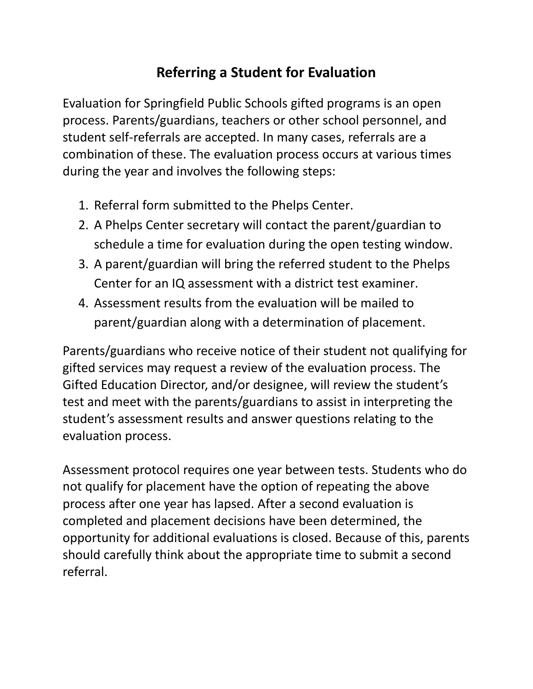## **Referring a Student for Evaluation**

Evaluation for Springfield Public Schools gifted programs is an open process. Parents/guardians, teachers or other school personnel, and student self-referrals are accepted. In many cases, referrals are a combination of these. The evaluation process occurs at various times during the year and involves the following steps:

- 1. Referral form submitted to the Phelps Center.
- 2. A Phelps Center secretary will contact the parent/guardian to schedule a time for evaluation during the open testing window.
- 3. A parent/guardian will bring the referred student to the Phelps Center for an IQ assessment with a district test examiner.
- 4. Assessment results from the evaluation will be mailed to parent/guardian along with a determination of placement.

Parents/guardians who receive notice of their student not qualifying for gifted services may request a review of the evaluation process. The Gifted Education Director, and/or designee, will review the student's test and meet with the parents/guardians to assist in interpreting the student's assessment results and answer questions relating to the evaluation process.

Assessment protocol requires one year between tests. Students who do not qualify for placement have the option of repeating the above process after one year has lapsed. After a second evaluation is completed and placement decisions have been determined, the opportunity for additional evaluations is closed. Because of this, parents should carefully think about the appropriate time to submit a second referral.